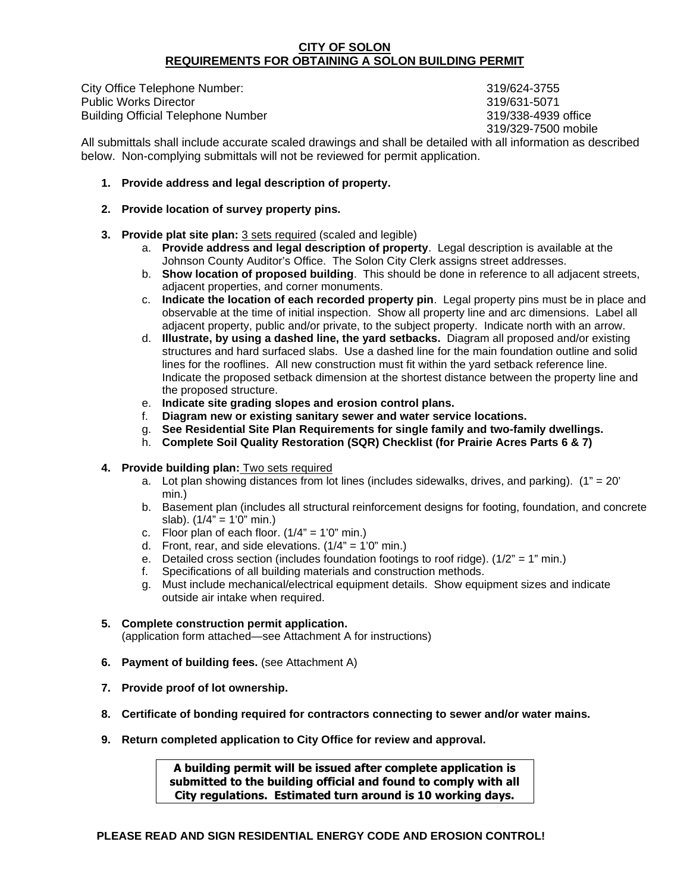#### **CITY OF SOLON REQUIREMENTS FOR OBTAINING A SOLON BUILDING PERMIT**

City Office Telephone Number: 319/624-3755 Public Works Director 319/631-5071 Building Official Telephone Number 319/338-4939 office

319/329-7500 mobile

All submittals shall include accurate scaled drawings and shall be detailed with all information as described below. Non-complying submittals will not be reviewed for permit application.

### **1. Provide address and legal description of property.**

- **2. Provide location of survey property pins.**
- **3. Provide plat site plan:** 3 sets required (scaled and legible)
	- a. **Provide address and legal description of property**. Legal description is available at the Johnson County Auditor's Office. The Solon City Clerk assigns street addresses.
	- b. **Show location of proposed building**. This should be done in reference to all adjacent streets, adjacent properties, and corner monuments.
	- c. **Indicate the location of each recorded property pin**. Legal property pins must be in place and observable at the time of initial inspection. Show all property line and arc dimensions. Label all adjacent property, public and/or private, to the subject property. Indicate north with an arrow.
	- d. **Illustrate, by using a dashed line, the yard setbacks.** Diagram all proposed and/or existing structures and hard surfaced slabs. Use a dashed line for the main foundation outline and solid lines for the rooflines. All new construction must fit within the yard setback reference line. Indicate the proposed setback dimension at the shortest distance between the property line and the proposed structure.
	- e. **Indicate site grading slopes and erosion control plans.**
	- f. **Diagram new or existing sanitary sewer and water service locations.**
	- g. **See Residential Site Plan Requirements for single family and two-family dwellings.**
	- h. **Complete Soil Quality Restoration (SQR) Checklist (for Prairie Acres Parts 6 & 7)**
- **4. Provide building plan:** Two sets required
	- a. Lot plan showing distances from lot lines (includes sidewalks, drives, and parking).  $(1" = 20"$ min.)
	- b. Basement plan (includes all structural reinforcement designs for footing, foundation, and concrete slab).  $(1/4" = 1'0"$  min.)
	- c. Floor plan of each floor.  $(1/4" = 1'0"$  min.)
	- d. Front, rear, and side elevations.  $(1/4" = 1'0"$  min.)
	- e. Detailed cross section (includes foundation footings to roof ridge).  $(1/2<sup>n</sup> = 1<sup>n</sup> min.)$
	- f. Specifications of all building materials and construction methods.
	- g. Must include mechanical/electrical equipment details. Show equipment sizes and indicate outside air intake when required.

#### **5. Complete construction permit application.**

(application form attached—see Attachment A for instructions)

- **6. Payment of building fees.** (see Attachment A)
- **7. Provide proof of lot ownership.**
- **8. Certificate of bonding required for contractors connecting to sewer and/or water mains.**
- **9. Return completed application to City Office for review and approval.**

**A building permit will be issued after complete application is submitted to the building official and found to comply with all City regulations. Estimated turn around is 10 working days.**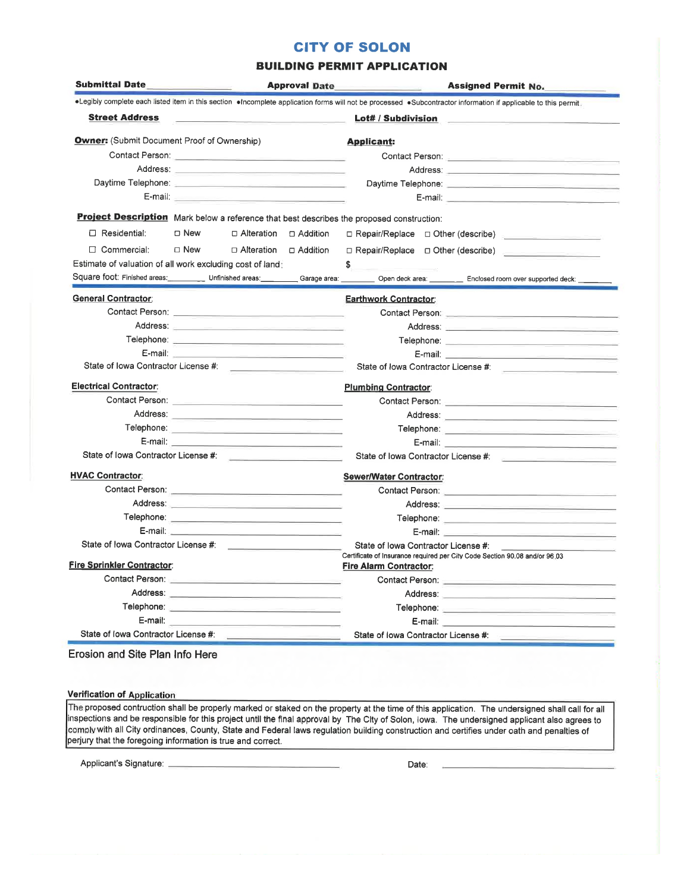# **CITY OF SOLON**

#### **BUILDING PERMIT APPLICATION**

| .Legibly complete each listed item in this section . Incomplete application forms will not be processed .Subcontractor information if applicable to this permit.<br>Contact Person: Network and Security and Security and Security and Security and Security and Security and Security and |
|--------------------------------------------------------------------------------------------------------------------------------------------------------------------------------------------------------------------------------------------------------------------------------------------|
|                                                                                                                                                                                                                                                                                            |
|                                                                                                                                                                                                                                                                                            |
|                                                                                                                                                                                                                                                                                            |
|                                                                                                                                                                                                                                                                                            |
|                                                                                                                                                                                                                                                                                            |
|                                                                                                                                                                                                                                                                                            |
|                                                                                                                                                                                                                                                                                            |
|                                                                                                                                                                                                                                                                                            |
| D Repair/Replace D Other (describe)                                                                                                                                                                                                                                                        |
| D Repair/Replace D Other (describe)                                                                                                                                                                                                                                                        |
|                                                                                                                                                                                                                                                                                            |
| Square foot: Finished areas: _____________ Unfinished areas: ___________ Garage area: __________ Open deck area: ____________ Enclosed room over supported deck: ______                                                                                                                    |
|                                                                                                                                                                                                                                                                                            |
|                                                                                                                                                                                                                                                                                            |
| Address: 2008. 2008. 2009. 2009. 2009. 2012. 2013. 2014. 2015. 2016. 2016. 2016. 2016. 2016. 2017. 2018. 2019                                                                                                                                                                              |
|                                                                                                                                                                                                                                                                                            |
|                                                                                                                                                                                                                                                                                            |
| State of Iowa Contractor License # [2010]                                                                                                                                                                                                                                                  |
|                                                                                                                                                                                                                                                                                            |
| Contact Person: 2008 2009 2009 2009 2009 2010 2021 2022 2033 2040 2041 2052 2053 2054 2055 2056 2057 2058 2059                                                                                                                                                                             |
|                                                                                                                                                                                                                                                                                            |
|                                                                                                                                                                                                                                                                                            |
|                                                                                                                                                                                                                                                                                            |
| State of Iowa Contractor License #: <b>All and Taylor Activities</b>                                                                                                                                                                                                                       |
|                                                                                                                                                                                                                                                                                            |
| Contact Person: And the Contact Person: And the Contact Person:                                                                                                                                                                                                                            |
|                                                                                                                                                                                                                                                                                            |
| Telephone: with the contract of the contract of the contract of the contract of the contract of the contract of the contract of the contract of the contract of the contract of the contract of the contract of the contract o                                                             |
|                                                                                                                                                                                                                                                                                            |
| State of Iowa Contractor License #:                                                                                                                                                                                                                                                        |
| Certificate of Insurance required per City Code Section 90.08 and/or 96.03                                                                                                                                                                                                                 |
|                                                                                                                                                                                                                                                                                            |
|                                                                                                                                                                                                                                                                                            |
|                                                                                                                                                                                                                                                                                            |
|                                                                                                                                                                                                                                                                                            |
|                                                                                                                                                                                                                                                                                            |
|                                                                                                                                                                                                                                                                                            |

Erosion and Site Plan Info Here

#### **Verification of Application**

The proposed contruction shall be properly marked or staked on the property at the time of this application. The undersigned shall call for all inspections and be responsible for this project until the final approval by The City of Solon, lowa. The undersigned applicant also agrees to comply with all City ordinances, County, State and Federal laws regulation building construction and certifies under oath and penalties of perjury that the foregoing information is true and correct.

<u> 1980 - Johann Harry Barn, mars a</u>

Applicant's Signature: \_

Date: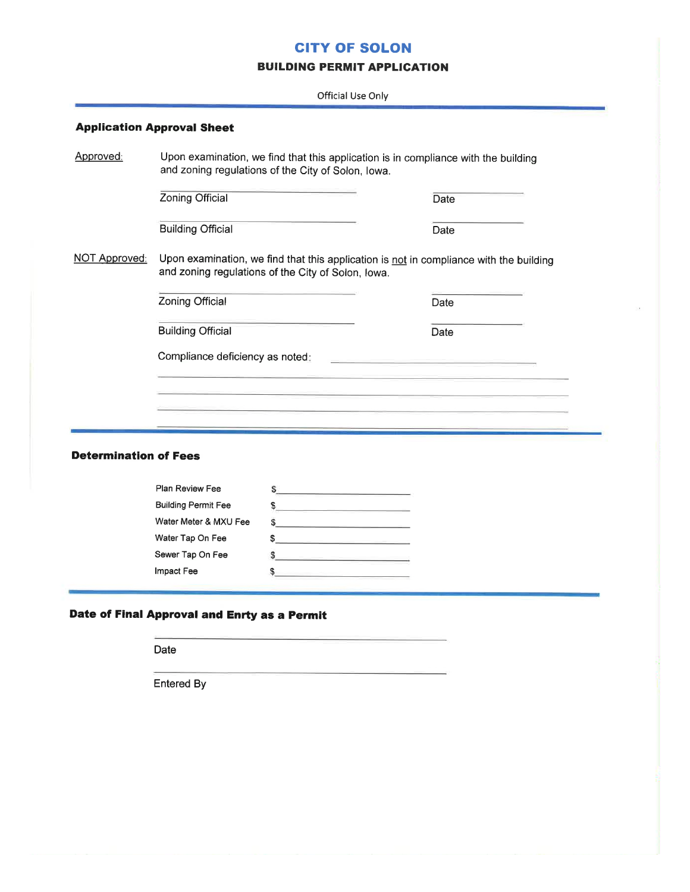# **CITY OF SOLON**

#### **BUILDING PERMIT APPLICATION**

Official Use Only

|                              | Upon examination, we find that this application is in compliance with the building<br>and zoning regulations of the City of Solon, Iowa.     |                                                                                                                                                    |      |  |  |  |
|------------------------------|----------------------------------------------------------------------------------------------------------------------------------------------|----------------------------------------------------------------------------------------------------------------------------------------------------|------|--|--|--|
|                              | Zoning Official                                                                                                                              |                                                                                                                                                    | Date |  |  |  |
|                              | <b>Building Official</b>                                                                                                                     |                                                                                                                                                    | Date |  |  |  |
| NOT Approved:                | Upon examination, we find that this application is not in compliance with the building<br>and zoning regulations of the City of Solon, Iowa. |                                                                                                                                                    |      |  |  |  |
|                              | Zoning Official                                                                                                                              |                                                                                                                                                    | Date |  |  |  |
|                              | <b>Building Official</b>                                                                                                                     |                                                                                                                                                    | Date |  |  |  |
|                              | Compliance deficiency as noted:<br><u> 1980 - Johann Marie Barn, mars eta b</u>                                                              |                                                                                                                                                    |      |  |  |  |
|                              |                                                                                                                                              |                                                                                                                                                    |      |  |  |  |
|                              |                                                                                                                                              |                                                                                                                                                    |      |  |  |  |
|                              |                                                                                                                                              |                                                                                                                                                    |      |  |  |  |
|                              |                                                                                                                                              |                                                                                                                                                    |      |  |  |  |
|                              |                                                                                                                                              |                                                                                                                                                    |      |  |  |  |
| <b>Determination of Fees</b> |                                                                                                                                              |                                                                                                                                                    |      |  |  |  |
|                              | Plan Review Fee                                                                                                                              |                                                                                                                                                    |      |  |  |  |
|                              | <b>Building Permit Fee</b>                                                                                                                   | $\sim$                                                                                                                                             |      |  |  |  |
|                              | Water Meter & MXU Fee                                                                                                                        | $\sim$                                                                                                                                             |      |  |  |  |
|                              | Water Tap On Fee                                                                                                                             | <u> 1989 - Johann John Harry Barnett, meil in der Stadt an der Stadt an der Stadt an der Stadt an der Stadt an der</u><br>S.                       |      |  |  |  |
|                              | Sewer Tap On Fee                                                                                                                             | the control of the control of the control of the control of the control of the control of<br>S<br><u> De Santo de Santo de Santo de Santo de S</u> |      |  |  |  |

s.

Date

Entered By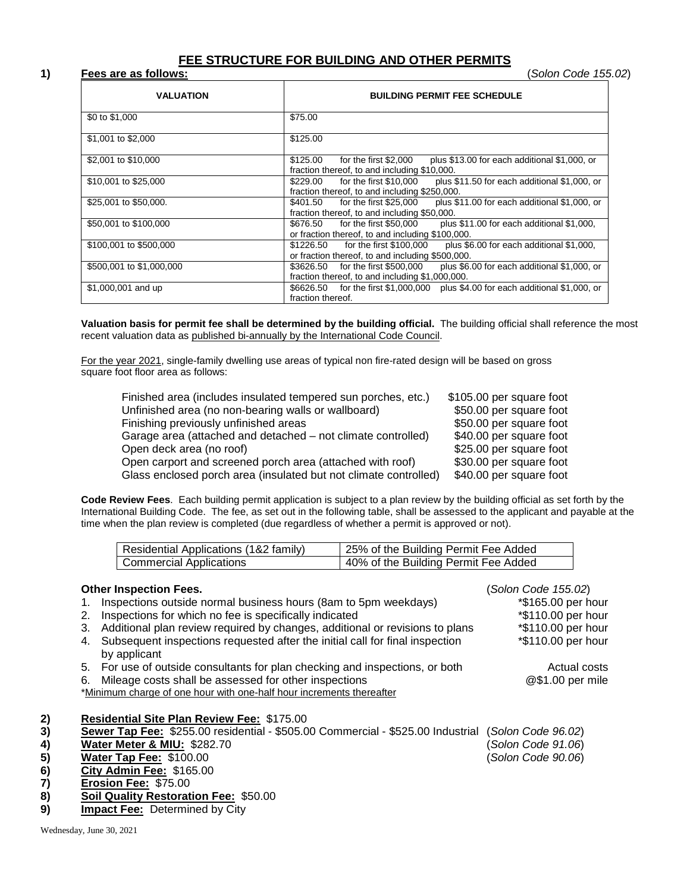# **FEE STRUCTURE FOR BUILDING AND OTHER PERMITS**

#### **1) Fees are as follows:** (*Solon Code 155.02*)

| <b>VALUATION</b>         | <b>BUILDING PERMIT FEE SCHEDULE</b>                                                                                                    |
|--------------------------|----------------------------------------------------------------------------------------------------------------------------------------|
| \$0 to \$1,000           | \$75.00                                                                                                                                |
| \$1,001 to \$2,000       | \$125.00                                                                                                                               |
| \$2,001 to \$10,000      | \$125.00<br>for the first \$2,000<br>plus \$13.00 for each additional \$1,000, or<br>fraction thereof, to and including \$10,000.      |
| \$10,001 to \$25,000     | \$229.00 for the first \$10,000<br>plus \$11.50 for each additional \$1,000, or<br>fraction thereof, to and including \$250,000.       |
| \$25,001 to \$50,000.    | for the first \$25,000<br>\$401.50<br>plus \$11.00 for each additional \$1,000, or<br>fraction thereof, to and including \$50,000.     |
| \$50,001 to \$100,000    | for the first \$50,000<br>\$676.50<br>plus \$11.00 for each additional \$1,000,<br>or fraction thereof, to and including \$100,000.    |
| \$100,001 to \$500,000   | \$1226.50 for the first \$100,000<br>plus \$6.00 for each additional \$1,000,<br>or fraction thereof, to and including \$500,000.      |
| \$500,001 to \$1,000,000 | plus \$6.00 for each additional \$1,000, or<br>for the first \$500,000<br>\$3626.50<br>fraction thereof, to and including \$1,000,000. |
| \$1,000,001 and up       | \$6626.50 for the first \$1,000,000 plus \$4.00 for each additional \$1,000, or<br>fraction thereof.                                   |

**Valuation basis for permit fee shall be determined by the building official.** The building official shall reference the most recent valuation data as published bi-annually by the International Code Council.

For the year 2021, single-family dwelling use areas of typical non fire-rated design will be based on gross square foot floor area as follows:

| Finished area (includes insulated tempered sun porches, etc.)    | \$105.00 per square foot |
|------------------------------------------------------------------|--------------------------|
| Unfinished area (no non-bearing walls or wallboard)              | \$50.00 per square foot  |
| Finishing previously unfinished areas                            | \$50.00 per square foot  |
| Garage area (attached and detached – not climate controlled)     | \$40.00 per square foot  |
| Open deck area (no roof)                                         | \$25.00 per square foot  |
| Open carport and screened porch area (attached with roof)        | \$30.00 per square foot  |
| Glass enclosed porch area (insulated but not climate controlled) | \$40.00 per square foot  |
|                                                                  |                          |

**Code Review Fees**. Each building permit application is subject to a plan review by the building official as set forth by the International Building Code. The fee, as set out in the following table, shall be assessed to the applicant and payable at the time when the plan review is completed (due regardless of whether a permit is approved or not).

| Residential Applications (1&2 family) | 25% of the Building Permit Fee Added |
|---------------------------------------|--------------------------------------|
| <b>Commercial Applications</b>        | 40% of the Building Permit Fee Added |

|          | <b>Other Inspection Fees.</b>                                                                                                        | (Solon Code 155.02) |
|----------|--------------------------------------------------------------------------------------------------------------------------------------|---------------------|
|          | Inspections outside normal business hours (8am to 5pm weekdays)<br>1.                                                                | *\$165.00 per hour  |
|          | Inspections for which no fee is specifically indicated<br>2.                                                                         | *\$110.00 per hour  |
|          | Additional plan review required by changes, additional or revisions to plans<br>3.                                                   | *\$110.00 per hour  |
|          | Subsequent inspections requested after the initial call for final inspection<br>4.<br>by applicant                                   | *\$110.00 per hour  |
|          | 5. For use of outside consultants for plan checking and inspections, or both                                                         | Actual costs        |
|          | Mileage costs shall be assessed for other inspections<br>6.                                                                          | @\$1.00 per mile    |
|          | *Minimum charge of one hour with one-half hour increments thereafter                                                                 |                     |
| 2)<br>3) | <b>Residential Site Plan Review Fee: \$175.00</b><br>Sewer Tap Fee: \$255.00 residential - \$505.00 Commercial - \$525.00 Industrial | (Solon Code 96.02)  |
| 4)       | Water Meter & MIU: \$282.70                                                                                                          | Solon Code 91.06)   |
| 5)       | Water Tap Fee: \$100.00                                                                                                              | Solon Code 90.06)   |
| 6)       | City Admin Fee: \$165.00                                                                                                             |                     |
| 7)       | Erosion Fee: \$75.00                                                                                                                 |                     |
| 8)       | Soil Quality Restoration Fee: \$50.00                                                                                                |                     |
| 9)       | <b>Impact Fee: Determined by City</b>                                                                                                |                     |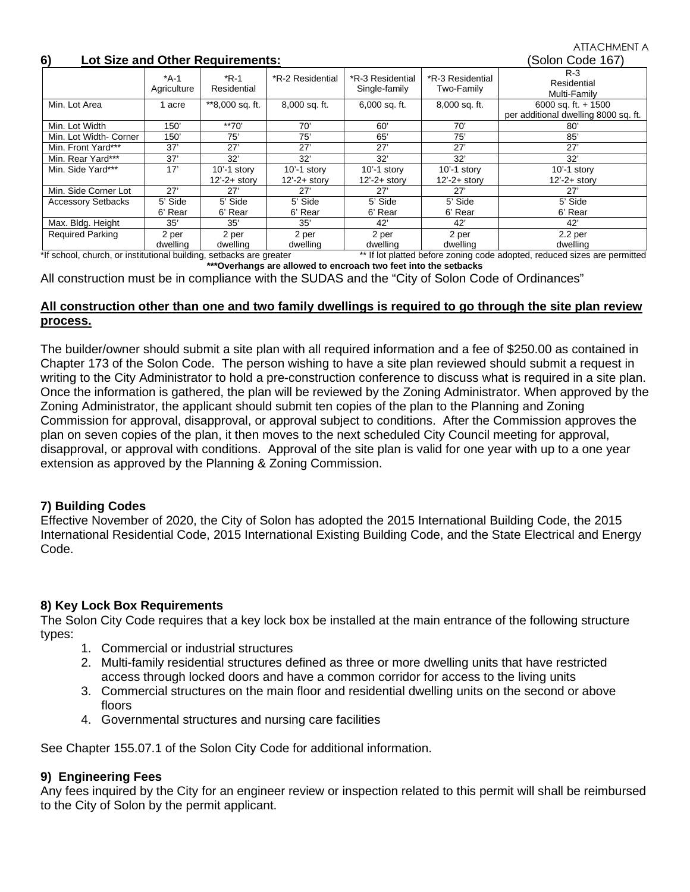# **6) Lot Size and Other Requirements:** (Solon Code 167)

ATTACHMENT A

| v,<br>LUI SIZE ANU UNIEI REGUNEMENTS. |                       |                       |                   |                                   | <b>OUIUIT CUUT TUTT</b>        |                                                               |
|---------------------------------------|-----------------------|-----------------------|-------------------|-----------------------------------|--------------------------------|---------------------------------------------------------------|
|                                       | $*A-1$<br>Agriculture | $*R-1$<br>Residential | *R-2 Residential  | *R-3 Residential<br>Single-family | *R-3 Residential<br>Two-Family | $R-3$<br>Residential<br>Multi-Family                          |
| Min. Lot Area                         | acre                  | **8,000 sq. ft.       | 8,000 sq. ft.     | $6,000$ sq. ft.                   | 8,000 sq. ft.                  | 6000 sq. ft. $+$ 1500<br>per additional dwelling 8000 sq. ft. |
| Min. Lot Width                        | 150'                  | $**70'$               | 70'               | 60'                               | 70'                            | 80'                                                           |
| Min. Lot Width- Corner                | 150'                  | 75'                   | 75'               | 65'                               | 75'                            | 85'                                                           |
| Min. Front Yard***                    | 37'                   | 27'                   | 27'               | 27'                               | 27'                            | 27'                                                           |
| Min. Rear Yard***                     | 37'                   | 32'                   | 32'               | 32'                               | 32'                            | 32'                                                           |
| Min. Side Yard***                     | 17'                   | $10' - 1$ story       | $10' - 1$ story   | $10' - 1$ story                   | $10' - 1$ story                | $10' - 1$ story                                               |
|                                       |                       | $12' - 2 +$ story     | $12' - 2 +$ story | $12' - 2 +$ story                 | $12' - 2 +$ story              | $12' - 2 +$ storv                                             |
| Min. Side Corner Lot                  | 27'                   | 27'                   | 27'               | 27'                               | 27'                            | 27'                                                           |
| <b>Accessory Setbacks</b>             | 5' Side               | 5' Side               | 5' Side           | 5' Side                           | 5' Side                        | 5' Side                                                       |
|                                       | 6' Rear               | 6' Rear               | 6' Rear           | 6' Rear                           | 6' Rear                        | 6' Rear                                                       |
| Max. Bldg. Height                     | 35'                   | 35'                   | 35'               | 42'                               | 42'                            | 42'                                                           |
| <b>Required Parking</b>               | 2 per<br>dwelling     | 2 per<br>dwelling     | 2 per<br>dwelling | 2 per<br>dwelling                 | 2 per<br>dwelling              | 2.2 <sub>per</sub><br>dwelling                                |

\*If school, church, or institutional building, setbacks are greater \*\* If lot platted before zoning code adopted, reduced sizes are permitted **\*\*\*Overhangs are allowed to encroach two feet into the setbacks**

All construction must be in compliance with the SUDAS and the "City of Solon Code of Ordinances"

# **All construction other than one and two family dwellings is required to go through the site plan review process.**

The builder/owner should submit a site plan with all required information and a fee of \$250.00 as contained in Chapter 173 of the Solon Code. The person wishing to have a site plan reviewed should submit a request in writing to the City Administrator to hold a pre-construction conference to discuss what is required in a site plan. Once the information is gathered, the plan will be reviewed by the Zoning Administrator. When approved by the Zoning Administrator, the applicant should submit ten copies of the plan to the Planning and Zoning Commission for approval, disapproval, or approval subject to conditions. After the Commission approves the plan on seven copies of the plan, it then moves to the next scheduled City Council meeting for approval, disapproval, or approval with conditions. Approval of the site plan is valid for one year with up to a one year extension as approved by the Planning & Zoning Commission.

# **7) Building Codes**

Effective November of 2020, the City of Solon has adopted the 2015 International Building Code, the 2015 International Residential Code, 2015 International Existing Building Code, and the State Electrical and Energy Code.

# **8) Key Lock Box Requirements**

The Solon City Code requires that a key lock box be installed at the main entrance of the following structure types:

- 1. Commercial or industrial structures
- 2. Multi-family residential structures defined as three or more dwelling units that have restricted access through locked doors and have a common corridor for access to the living units
- 3. Commercial structures on the main floor and residential dwelling units on the second or above floors
- 4. Governmental structures and nursing care facilities

See Chapter 155.07.1 of the Solon City Code for additional information.

# **9) Engineering Fees**

Any fees inquired by the City for an engineer review or inspection related to this permit will shall be reimbursed to the City of Solon by the permit applicant.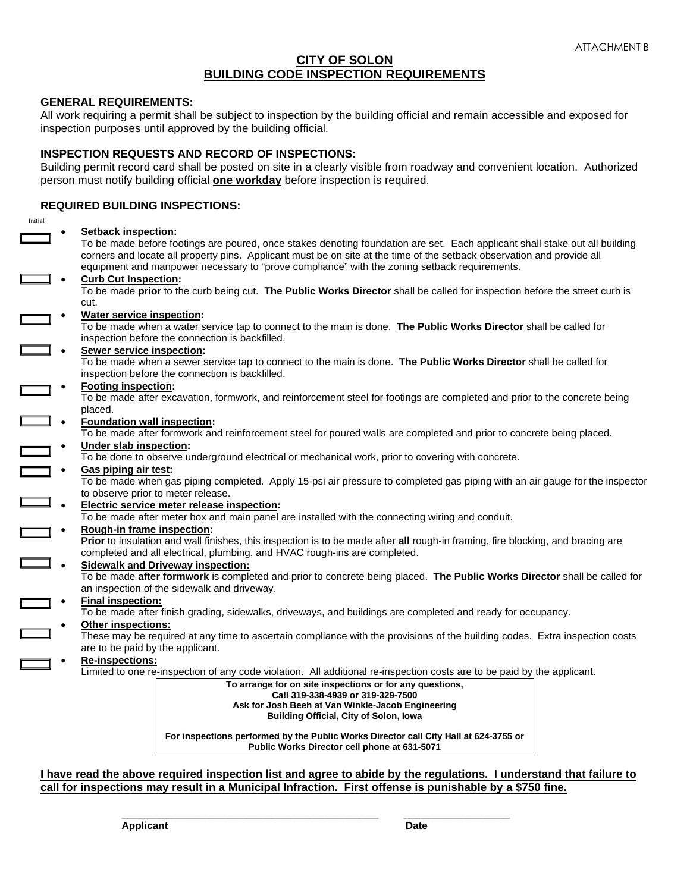### **CITY OF SOLON BUILDING CODE INSPECTION REQUIREMENTS**

#### **GENERAL REQUIREMENTS:**

All work requiring a permit shall be subject to inspection by the building official and remain accessible and exposed for inspection purposes until approved by the building official.

#### **INSPECTION REQUESTS AND RECORD OF INSPECTIONS:**

Building permit record card shall be posted on site in a clearly visible from roadway and convenient location. Authorized person must notify building official **one workday** before inspection is required.

### **REQUIRED BUILDING INSPECTIONS:**

| Initial |                                                                                                 |                                                                                                                                                                                                                                                                                                                                                       |  |
|---------|-------------------------------------------------------------------------------------------------|-------------------------------------------------------------------------------------------------------------------------------------------------------------------------------------------------------------------------------------------------------------------------------------------------------------------------------------------------------|--|
|         | <b>Setback inspection:</b>                                                                      | To be made before footings are poured, once stakes denoting foundation are set. Each applicant shall stake out all building<br>corners and locate all property pins. Applicant must be on site at the time of the setback observation and provide all<br>equipment and manpower necessary to "prove compliance" with the zoning setback requirements. |  |
|         | <b>Curb Cut Inspection:</b>                                                                     |                                                                                                                                                                                                                                                                                                                                                       |  |
|         |                                                                                                 |                                                                                                                                                                                                                                                                                                                                                       |  |
|         |                                                                                                 | To be made prior to the curb being cut. The Public Works Director shall be called for inspection before the street curb is                                                                                                                                                                                                                            |  |
|         | cut.                                                                                            |                                                                                                                                                                                                                                                                                                                                                       |  |
|         | <b>Water service inspection:</b>                                                                |                                                                                                                                                                                                                                                                                                                                                       |  |
|         | inspection before the connection is backfilled.                                                 | To be made when a water service tap to connect to the main is done. The Public Works Director shall be called for                                                                                                                                                                                                                                     |  |
|         | Sewer service inspection:                                                                       |                                                                                                                                                                                                                                                                                                                                                       |  |
|         |                                                                                                 |                                                                                                                                                                                                                                                                                                                                                       |  |
|         | inspection before the connection is backfilled.                                                 | To be made when a sewer service tap to connect to the main is done. The Public Works Director shall be called for                                                                                                                                                                                                                                     |  |
|         | <b>Footing inspection:</b>                                                                      |                                                                                                                                                                                                                                                                                                                                                       |  |
|         |                                                                                                 | To be made after excavation, formwork, and reinforcement steel for footings are completed and prior to the concrete being                                                                                                                                                                                                                             |  |
|         | placed.                                                                                         |                                                                                                                                                                                                                                                                                                                                                       |  |
|         | <b>Foundation wall inspection:</b>                                                              |                                                                                                                                                                                                                                                                                                                                                       |  |
|         |                                                                                                 | To be made after formwork and reinforcement steel for poured walls are completed and prior to concrete being placed.                                                                                                                                                                                                                                  |  |
|         |                                                                                                 |                                                                                                                                                                                                                                                                                                                                                       |  |
|         | Under slab inspection:                                                                          |                                                                                                                                                                                                                                                                                                                                                       |  |
|         |                                                                                                 | To be done to observe underground electrical or mechanical work, prior to covering with concrete.                                                                                                                                                                                                                                                     |  |
|         | Gas piping air test:                                                                            |                                                                                                                                                                                                                                                                                                                                                       |  |
|         |                                                                                                 | To be made when gas piping completed. Apply 15-psi air pressure to completed gas piping with an air gauge for the inspector                                                                                                                                                                                                                           |  |
|         | to observe prior to meter release.                                                              |                                                                                                                                                                                                                                                                                                                                                       |  |
|         | Electric service meter release inspection:                                                      |                                                                                                                                                                                                                                                                                                                                                       |  |
|         | To be made after meter box and main panel are installed with the connecting wiring and conduit. |                                                                                                                                                                                                                                                                                                                                                       |  |
|         | Rough-in frame inspection:                                                                      |                                                                                                                                                                                                                                                                                                                                                       |  |
|         |                                                                                                 | Prior to insulation and wall finishes, this inspection is to be made after all rough-in framing, fire blocking, and bracing are                                                                                                                                                                                                                       |  |
|         | completed and all electrical, plumbing, and HVAC rough-ins are completed.                       |                                                                                                                                                                                                                                                                                                                                                       |  |
|         |                                                                                                 |                                                                                                                                                                                                                                                                                                                                                       |  |
|         | <b>Sidewalk and Driveway inspection:</b>                                                        |                                                                                                                                                                                                                                                                                                                                                       |  |
|         |                                                                                                 | To be made after formwork is completed and prior to concrete being placed. The Public Works Director shall be called for                                                                                                                                                                                                                              |  |
|         | an inspection of the sidewalk and driveway.                                                     |                                                                                                                                                                                                                                                                                                                                                       |  |
|         | <b>Final inspection:</b>                                                                        |                                                                                                                                                                                                                                                                                                                                                       |  |
|         |                                                                                                 | To be made after finish grading, sidewalks, driveways, and buildings are completed and ready for occupancy.                                                                                                                                                                                                                                           |  |
|         | <b>Other inspections:</b>                                                                       |                                                                                                                                                                                                                                                                                                                                                       |  |
|         |                                                                                                 | These may be required at any time to ascertain compliance with the provisions of the building codes. Extra inspection costs                                                                                                                                                                                                                           |  |
|         | are to be paid by the applicant.                                                                |                                                                                                                                                                                                                                                                                                                                                       |  |
|         | Re-inspections:                                                                                 |                                                                                                                                                                                                                                                                                                                                                       |  |
|         |                                                                                                 | Limited to one re-inspection of any code violation. All additional re-inspection costs are to be paid by the applicant.                                                                                                                                                                                                                               |  |
|         |                                                                                                 |                                                                                                                                                                                                                                                                                                                                                       |  |
|         |                                                                                                 | To arrange for on site inspections or for any questions,<br>Call 319-338-4939 or 319-329-7500                                                                                                                                                                                                                                                         |  |
|         |                                                                                                 | Ask for Josh Beeh at Van Winkle-Jacob Engineering                                                                                                                                                                                                                                                                                                     |  |
|         |                                                                                                 | <b>Building Official, City of Solon, Iowa</b>                                                                                                                                                                                                                                                                                                         |  |
|         |                                                                                                 |                                                                                                                                                                                                                                                                                                                                                       |  |
|         |                                                                                                 | For inspections performed by the Public Works Director call City Hall at 624-3755 or                                                                                                                                                                                                                                                                  |  |
|         |                                                                                                 | Public Works Director cell phone at 631-5071                                                                                                                                                                                                                                                                                                          |  |
|         |                                                                                                 |                                                                                                                                                                                                                                                                                                                                                       |  |

**I have read the above required inspection list and agree to abide by the regulations. I understand that failure to call for inspections may result in a Municipal Infraction. First offense is punishable by a \$750 fine.**